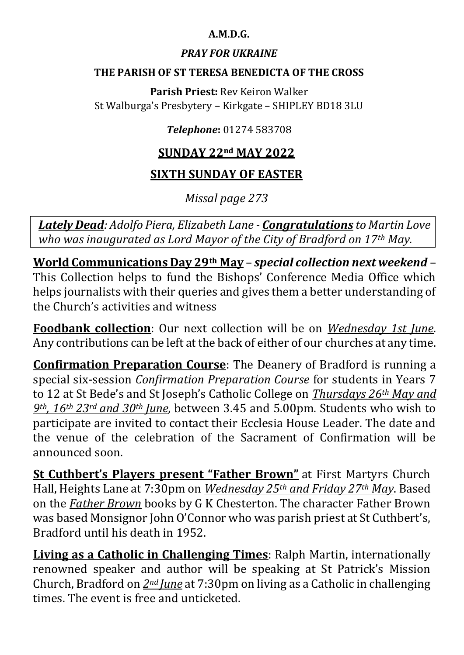## **A.M.D.G.**

## *PRAY FOR UKRAINE*

#### **THE PARISH OF ST TERESA BENEDICTA OF THE CROSS**

**Parish Priest:** Rev Keiron Walker St Walburga's Presbytery – Kirkgate – SHIPLEY BD18 3LU

## *Telephone***:** 01274 583708

# **SUNDAY 22nd MAY 2022**

# **SIXTH SUNDAY OF EASTER**

*Missal page 273*

*Lately Dead: Adolfo Piera, Elizabeth Lane - Congratulations to Martin Love who was inaugurated as Lord Mayor of the City of Bradford on 17th May.*

**World Communications Day 29th May** – *special collection next weekend* – This Collection helps to fund the Bishops' Conference Media Office which helps journalists with their queries and gives them a better understanding of the Church's activities and witness

**Foodbank collection**: Our next collection will be on *Wednesday 1st June*. Any contributions can be left at the back of either of our churches at any time.

**Confirmation Preparation Course**: The Deanery of Bradford is running a special six-session *Confirmation Preparation Course* for students in Years 7 to 12 at St Bede's and St Joseph's Catholic College on *Thursdays 26th May and 9th, 16th 23rd and 30th June*, between 3.45 and 5.00pm. Students who wish to participate are invited to contact their Ecclesia House Leader. The date and the venue of the celebration of the Sacrament of Confirmation will be announced soon.

**St Cuthbert's Players present "Father Brown"** at First Martyrs Church Hall, Heights Lane at 7:30pm on *Wednesday 25th and Friday 27th May*. Based on the *Father Brown* books by G K Chesterton. The character Father Brown was based Monsignor John O'Connor who was parish priest at St Cuthbert's, Bradford until his death in 1952.

**Living as a Catholic in Challenging Times**: Ralph Martin, internationally renowned speaker and author will be speaking at St Patrick's Mission Church, Bradford on *2nd June* at 7:30pm on living as a Catholic in challenging times. The event is free and unticketed.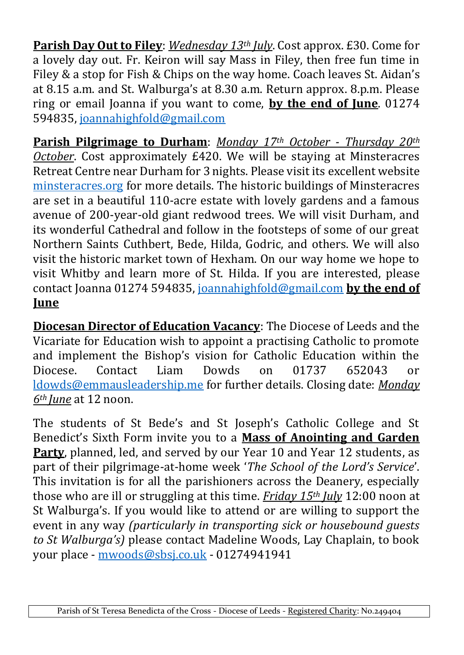**Parish Day Out to Filey**: *Wednesday 13th July*. Cost approx. £30. Come for a lovely day out. Fr. Keiron will say Mass in Filey, then free fun time in Filey & a stop for Fish & Chips on the way home. Coach leaves St. Aidan's at 8.15 a.m. and St. Walburga's at 8.30 a.m. Return approx. 8.p.m. Please ring or email Joanna if you want to come, **by the end of June**. 01274 594835, [joannahighfold@gmail.com](https://d.docs.live.net/4c265d91f62663a1/00%20-%20St%20Teresa%20Benedicta%20of%20the%20Cross/Bulletin/Shared%20Folder/2022/joannahighfold@gmail.com)

**Parish Pilgrimage to Durham**: *Monday 17th October - Thursday 20th October*. Cost approximately £420. We will be staying at Minsteracres Retreat Centre near Durham for 3 nights. Please visit its excellent website [minsteracres.org](https://d.docs.live.net/4c265d91f62663a1/00%20-%20St%20Teresa%20Benedicta%20of%20the%20Cross/Bulletin/Shared%20Folder/2022/minsteracres.org) for more details. The historic buildings of Minsteracres are set in a beautiful 110-acre estate with lovely gardens and a famous avenue of 200-year-old giant redwood trees. We will visit Durham, and its wonderful Cathedral and follow in the footsteps of some of our great Northern Saints Cuthbert, Bede, Hilda, Godric, and others. We will also visit the historic market town of Hexham. On our way home we hope to visit Whitby and learn more of St. Hilda. If you are interested, please contact Joanna 01274 594835, [joannahighfold@gmail.com](https://d.docs.live.net/4c265d91f62663a1/00%20-%20St%20Teresa%20Benedicta%20of%20the%20Cross/Bulletin/Shared%20Folder/2022/joannahighfold@gmail.com) **by the end of June**

**Diocesan Director of Education Vacancy**: The Diocese of Leeds and the Vicariate for Education wish to appoint a practising Catholic to promote and implement the Bishop's vision for Catholic Education within the Diocese. Contact Liam Dowds on 01737 652043 or [ldowds@emmausleadership.me](http://ldowds@emmausleadership.me/) for further details. Closing date: *Monday 6th June* at 12 noon.

The students of St Bede's and St Joseph's Catholic College and St Benedict's Sixth Form invite you to a **Mass of Anointing and Garden Party**, planned, led, and served by our Year 10 and Year 12 students, as part of their pilgrimage-at-home week '*The School of the Lord's Service*'. This invitation is for all the parishioners across the Deanery, especially those who are ill or struggling at this time. *Friday 15th July* 12:00 noon at St Walburga's. If you would like to attend or are willing to support the event in any way *(particularly in transporting sick or housebound guests to St Walburga's)* please contact Madeline Woods, Lay Chaplain, to book your place - [mwoods@sbsj.co.uk](mailto:mwoods@sbsj.co.uk) - 01274941941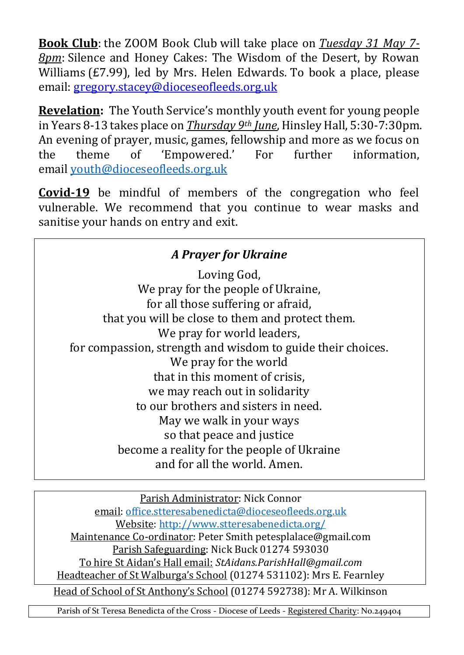**Book Club**: the ZOOM Book Club will take place on *Tuesday 31 May 7- 8pm*: Silence and Honey Cakes: The Wisdom of the Desert, by Rowan Williams (£7.99), led by Mrs. Helen Edwards. To book a place, please email: [gregory.stacey@dioceseofleeds.org.uk](mailto:gregory.stacey@dioceseofleeds.org.uk)

**Revelation:** The Youth Service's monthly youth event for young people in Years 8-13 takes place on *Thursday 9th June*, Hinsley Hall, 5:30-7:30pm. An evening of prayer, music, games, fellowship and more as we focus on the theme of 'Empowered.' For further information, email [youth@dioceseofleeds.org.uk](mailto:youth@dioceseofleeds.org.uk)

**Covid-19** be mindful of members of the congregation who feel vulnerable. We recommend that you continue to wear masks and sanitise your hands on entry and exit.

| A Prayer for Ukraine                                        |  |  |
|-------------------------------------------------------------|--|--|
| Loving God,                                                 |  |  |
| We pray for the people of Ukraine,                          |  |  |
| for all those suffering or afraid,                          |  |  |
| that you will be close to them and protect them.            |  |  |
| We pray for world leaders,                                  |  |  |
| for compassion, strength and wisdom to guide their choices. |  |  |
| We pray for the world                                       |  |  |
| that in this moment of crisis.                              |  |  |
| we may reach out in solidarity                              |  |  |
| to our brothers and sisters in need.                        |  |  |
| May we walk in your ways                                    |  |  |
| so that peace and justice                                   |  |  |
| become a reality for the people of Ukraine                  |  |  |
| and for all the world. Amen.                                |  |  |

Parish Administrator: Nick Connor email: [office.stteresabenedicta@dioceseofleeds.org.uk](mailto:office.stteresabenedicta@dioceseofleeds.org.uk) Website: [http://www.stteresabenedicta.org/](https://l.facebook.com/l.php?u=http%3A%2F%2Fwww.stteresabenedicta.org%2F%3Ffbclid%3DIwAR3mrFRWjiZtQbSg_C_s8hbJJ-btsgTWzwEsMIBzZNhLPVSp95ld20JgiLE&h=AT37lkP6ds2Ho_escAF2mGR6jmEPK-E8gGIMp9Tyf3uN4FFXrMZYfaCXutVp3rQ7tH4WBE0fqPMXDfMzO4XH5-k_JXOs4Jc6uY2v6Hka4_kw0HSUtzz5fGcQDOoQbGf1apE) Maintenance Co-ordinator: Peter Smith petesplalace@gmail.com Parish Safeguarding: Nick Buck 01274 593030 To hire St Aidan's Hall email: *StAidans.ParishHall@gmail.com* Headteacher of St Walburga's School (01274 531102): Mrs E. Fearnley Head of School of St Anthony's School (01274 592738): Mr A. Wilkinson

Parish of St Teresa Benedicta of the Cross - Diocese of Leeds - Registered Charity: No.249404